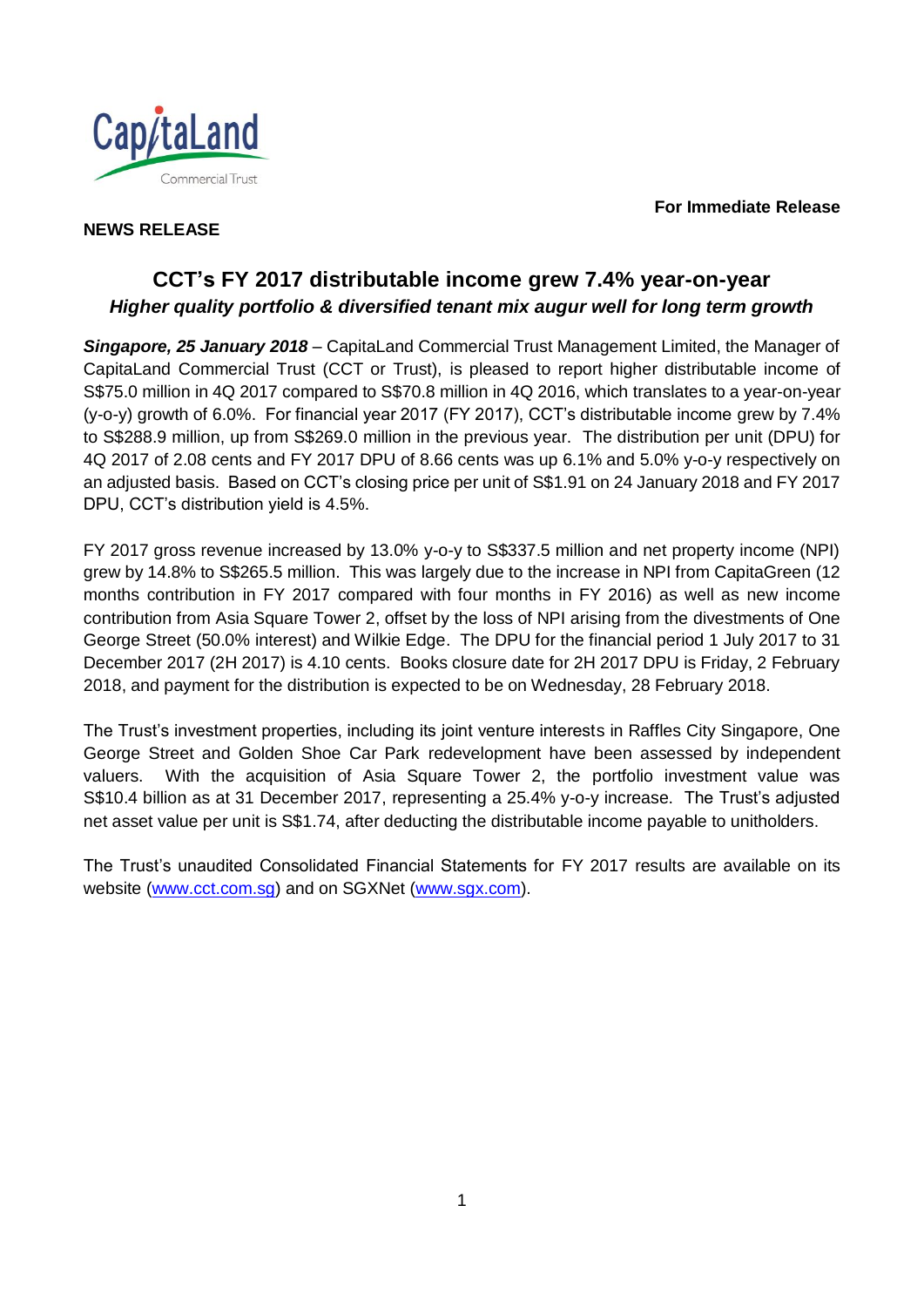**For Immediate Release**



## **NEWS RELEASE**

# **CCT's FY 2017 distributable income grew 7.4% year-on-year** *Higher quality portfolio & diversified tenant mix augur well for long term growth*

*Singapore, 25 January 2018* – CapitaLand Commercial Trust Management Limited, the Manager of CapitaLand Commercial Trust (CCT or Trust), is pleased to report higher distributable income of S\$75.0 million in 4Q 2017 compared to S\$70.8 million in 4Q 2016, which translates to a year-on-year (y-o-y) growth of 6.0%. For financial year 2017 (FY 2017), CCT's distributable income grew by 7.4% to S\$288.9 million, up from S\$269.0 million in the previous year. The distribution per unit (DPU) for 4Q 2017 of 2.08 cents and FY 2017 DPU of 8.66 cents was up 6.1% and 5.0% y-o-y respectively on an adjusted basis. Based on CCT's closing price per unit of S\$1.91 on 24 January 2018 and FY 2017 DPU, CCT's distribution yield is 4.5%.

FY 2017 gross revenue increased by 13.0% y-o-y to S\$337.5 million and net property income (NPI) grew by 14.8% to S\$265.5 million. This was largely due to the increase in NPI from CapitaGreen (12 months contribution in FY 2017 compared with four months in FY 2016) as well as new income contribution from Asia Square Tower 2, offset by the loss of NPI arising from the divestments of One George Street (50.0% interest) and Wilkie Edge. The DPU for the financial period 1 July 2017 to 31 December 2017 (2H 2017) is 4.10 cents. Books closure date for 2H 2017 DPU is Friday, 2 February 2018, and payment for the distribution is expected to be on Wednesday, 28 February 2018.

The Trust's investment properties, including its joint venture interests in Raffles City Singapore, One George Street and Golden Shoe Car Park redevelopment have been assessed by independent valuers. With the acquisition of Asia Square Tower 2, the portfolio investment value was S\$10.4 billion as at 31 December 2017, representing a 25.4% y-o-y increase. The Trust's adjusted net asset value per unit is S\$1.74, after deducting the distributable income payable to unitholders.

The Trust's unaudited Consolidated Financial Statements for FY 2017 results are available on its website [\(www.cct.com.sg\)](http://www.cct.com.sg/) and on SGXNet [\(www.sgx.com\)](http://www.sgx.com/).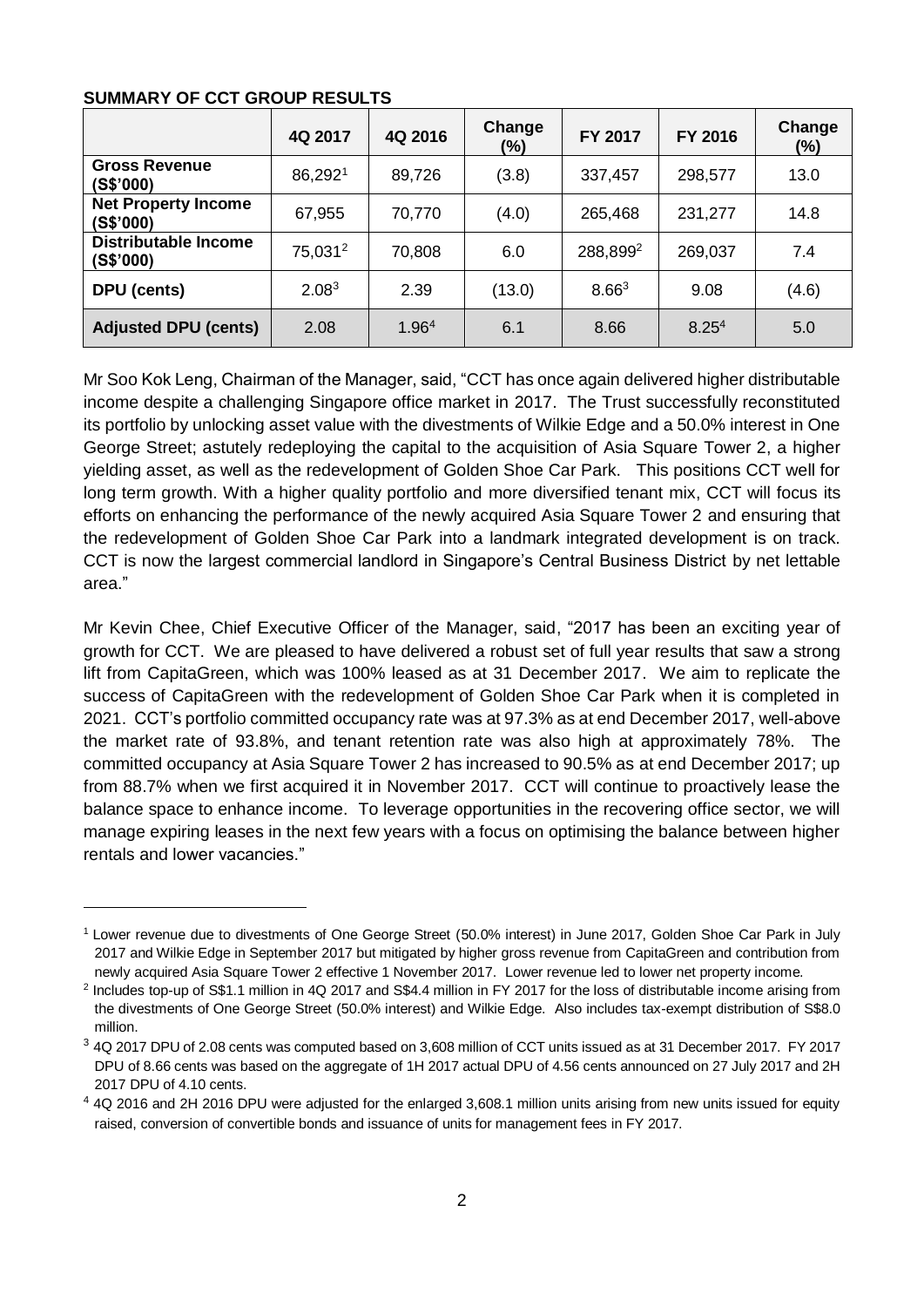### **SUMMARY OF CCT GROUP RESULTS**

l

|                                         | 4Q 2017             | 4Q 2016 | Change<br>(%) | <b>FY 2017</b> | FY 2016           | Change<br>$(\% )$ |
|-----------------------------------------|---------------------|---------|---------------|----------------|-------------------|-------------------|
| <b>Gross Revenue</b><br>(S\$'000)       | 86,2921             | 89,726  | (3.8)         | 337,457        | 298,577           | 13.0              |
| <b>Net Property Income</b><br>(S\$'000) | 67,955              | 70,770  | (4.0)         | 265,468        | 231,277           | 14.8              |
| Distributable Income<br>(S\$'000)       | 75,031 <sup>2</sup> | 70,808  | 6.0           | 288,8992       | 269,037           | 7.4               |
| DPU (cents)                             | 2.08 <sup>3</sup>   | 2.39    | (13.0)        | $8.66^{3}$     | 9.08              | (4.6)             |
| <b>Adjusted DPU (cents)</b>             | 2.08                | 1.964   | 6.1           | 8.66           | 8.25 <sup>4</sup> | 5.0               |

<span id="page-1-0"></span>Mr Soo Kok Leng, Chairman of the Manager, said, "CCT has once again delivered higher distributable income despite a challenging Singapore office market in 2017. The Trust successfully reconstituted its portfolio by unlocking asset value with the divestments of Wilkie Edge and a 50.0% interest in One George Street; astutely redeploying the capital to the acquisition of Asia Square Tower 2, a higher yielding asset, as well as the redevelopment of Golden Shoe Car Park. This positions CCT well for long term growth. With a higher quality portfolio and more diversified tenant mix, CCT will focus its efforts on enhancing the performance of the newly acquired Asia Square Tower 2 and ensuring that the redevelopment of Golden Shoe Car Park into a landmark integrated development is on track. CCT is now the largest commercial landlord in Singapore's Central Business District by net lettable area."

Mr Kevin Chee, Chief Executive Officer of the Manager, said, "2017 has been an exciting year of growth for CCT. We are pleased to have delivered a robust set of full year results that saw a strong lift from CapitaGreen, which was 100% leased as at 31 December 2017. We aim to replicate the success of CapitaGreen with the redevelopment of Golden Shoe Car Park when it is completed in 2021. CCT's portfolio committed occupancy rate was at 97.3% as at end December 2017, well-above the market rate of 93.8%, and tenant retention rate was also high at approximately 78%. The committed occupancy at Asia Square Tower 2 has increased to 90.5% as at end December 2017; up from 88.7% when we first acquired it in November 2017. CCT will continue to proactively lease the balance space to enhance income. To leverage opportunities in the recovering office sector, we will manage expiring leases in the next few years with a focus on optimising the balance between higher rentals and lower vacancies."

<sup>1</sup> Lower revenue due to divestments of One George Street (50.0% interest) in June 2017, Golden Shoe Car Park in July 2017 and Wilkie Edge in September 2017 but mitigated by higher gross revenue from CapitaGreen and contribution from newly acquired Asia Square Tower 2 effective 1 November 2017. Lower revenue led to lower net property income.

<sup>2</sup> Includes top-up of S\$1.1 million in 4Q 2017 and S\$4.4 million in FY 2017 for the loss of distributable income arising from the divestments of One George Street (50.0% interest) and Wilkie Edge. Also includes tax-exempt distribution of S\$8.0 million.

<sup>3</sup> 4Q 2017 DPU of 2.08 cents was computed based on 3,608 million of CCT units issued as at 31 December 2017. FY 2017 DPU of 8.66 cents was based on the aggregate of 1H 2017 actual DPU of 4.56 cents announced on 27 July 2017 and 2H 2017 DPU of 4.10 cents.

<sup>&</sup>lt;sup>4</sup> 4Q 2016 and 2H 2016 DPU were adjusted for the enlarged 3,608.1 million units arising from new units issued for equity raised, conversion of convertible bonds and issuance of units for management fees in FY 2017.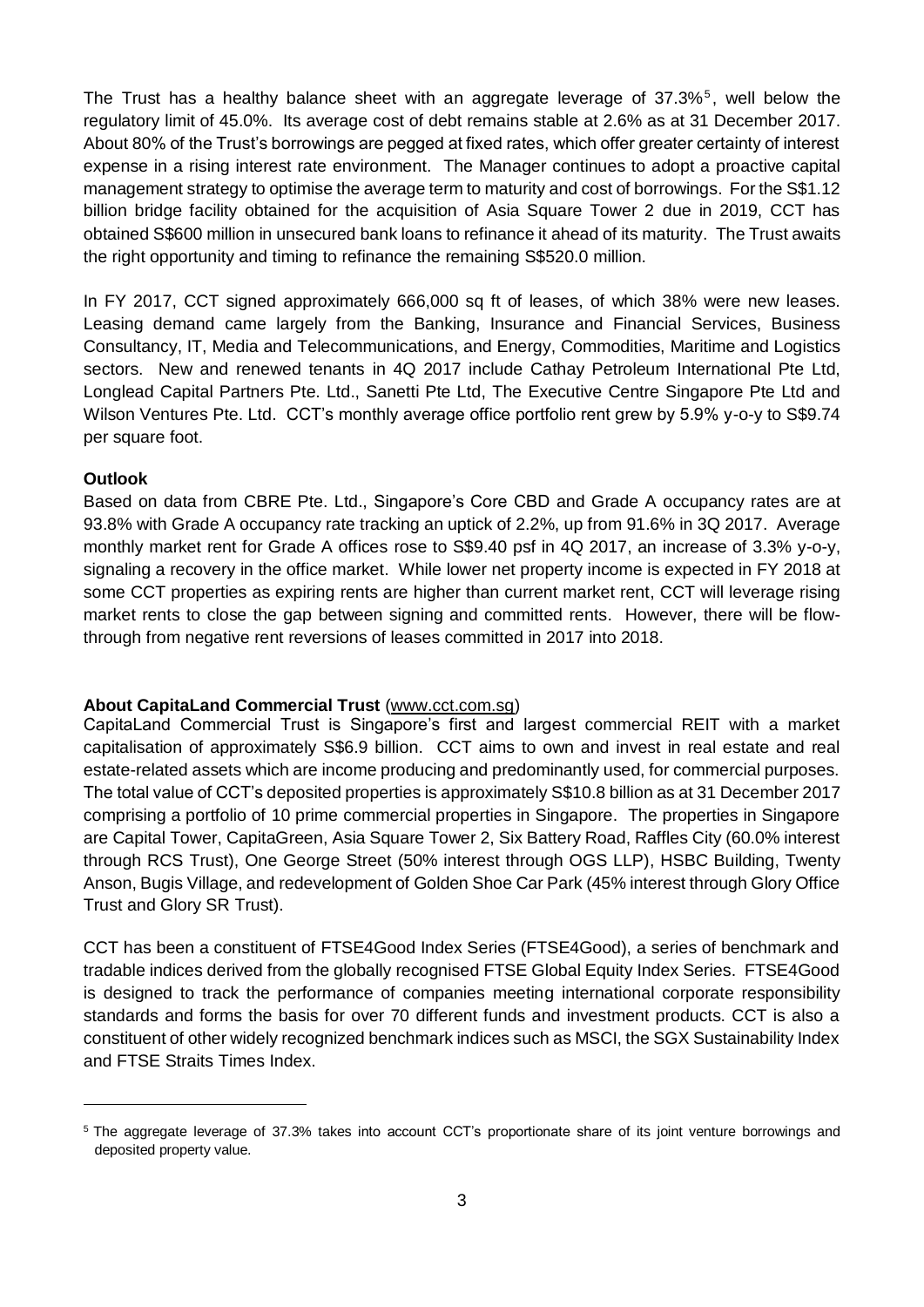The Trust has a healthy balance sheet with an aggregate leverage of  $37.3\%$ <sup>5</sup>, well below the regulatory limit of 45.0%. Its average cost of debt remains stable at 2.6% as at 31 December 2017. About 80% of the Trust's borrowings are pegged at fixed rates, which offer greater certainty of interest expense in a rising interest rate environment. The Manager continues to adopt a proactive capital management strategy to optimise the average term to maturity and cost of borrowings. For the S\$1.12 billion bridge facility obtained for the acquisition of Asia Square Tower 2 due in 2019, CCT has obtained S\$600 million in unsecured bank loans to refinance it ahead of its maturity. The Trust awaits the right opportunity and timing to refinance the remaining S\$520.0 million.

In FY 2017, CCT signed approximately 666,000 sq ft of leases, of which 38% were new leases. Leasing demand came largely from the Banking, Insurance and Financial Services, Business Consultancy, IT, Media and Telecommunications, and Energy, Commodities, Maritime and Logistics sectors. New and renewed tenants in 4Q 2017 include Cathay Petroleum International Pte Ltd, Longlead Capital Partners Pte. Ltd., Sanetti Pte Ltd, The Executive Centre Singapore Pte Ltd and Wilson Ventures Pte. Ltd. CCT's monthly average office portfolio rent grew by 5.9% y-o-y to S\$9.74 per square foot.

### **Outlook**

l

Based on data from CBRE Pte. Ltd., Singapore's Core CBD and Grade A occupancy rates are at 93.8% with Grade A occupancy rate tracking an uptick of 2.2%, up from 91.6% in 3Q 2017. Average monthly market rent for Grade A offices rose to S\$9.40 psf in 4Q 2017, an increase of 3.3% y-o-y, signaling a recovery in the office market. While lower net property income is expected in FY 2018 at some CCT properties as expiring rents are higher than current market rent, CCT will leverage rising market rents to close the gap between signing and committed rents. However, there will be flowthrough from negative rent reversions of leases committed in 2017 into 2018.

### **About CapitaLand Commercial Trust** (www.cct.com.sg)

CapitaLand Commercial Trust is Singapore's first and largest commercial REIT with a market capitalisation of approximately S\$6.9 billion. CCT aims to own and invest in real estate and real estate-related assets which are income producing and predominantly used, for commercial purposes. The total value of CCT's deposited properties is approximately S\$10.8 billion as at 31 December 2017 comprising a portfolio of 10 prime commercial properties in Singapore. The properties in Singapore are Capital Tower, CapitaGreen, Asia Square Tower 2, Six Battery Road, Raffles City (60.0% interest through RCS Trust), One George Street (50% interest through OGS LLP), HSBC Building, Twenty Anson, Bugis Village, and redevelopment of Golden Shoe Car Park (45% interest through Glory Office Trust and Glory SR Trust).

CCT has been a constituent of FTSE4Good Index Series (FTSE4Good), a series of benchmark and tradable indices derived from the globally recognised FTSE Global Equity Index Series. FTSE4Good is designed to track the performance of companies meeting international corporate responsibility standards and forms the basis for over 70 different funds and investment products. CCT is also a constituent of other widely recognized benchmark indices such as MSCI, the SGX Sustainability Index and FTSE Straits Times Index.

<sup>5</sup> The aggregate leverage of 37.3% takes into account CCT's proportionate share of its joint venture borrowings and deposited property value.